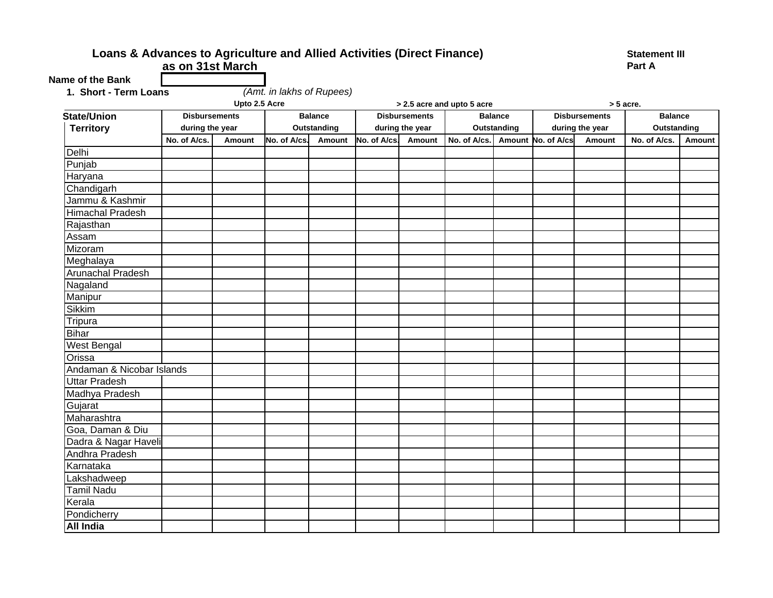## Loans & Advances to Agriculture and Allied Activities (Direct Finance) Statement III **as on 31st March**

*(Amt. in lakhs of Rupees)*

**Part A**

**Name of the Bank**

| 1. Short - Term Loans |  |
|-----------------------|--|
|                       |  |

| Upto 2.5 Acre             |                      |               |              |                | > 2.5 acre and upto 5 acre |                      |              |                | > 5 acre.          |                      |                |        |
|---------------------------|----------------------|---------------|--------------|----------------|----------------------------|----------------------|--------------|----------------|--------------------|----------------------|----------------|--------|
| <b>State/Union</b>        | <b>Disbursements</b> |               |              | <b>Balance</b> |                            | <b>Disbursements</b> |              | <b>Balance</b> |                    | <b>Disbursements</b> | <b>Balance</b> |        |
| <b>Territory</b>          | during the year      |               |              | Outstanding    |                            | during the year      |              | Outstanding    |                    | during the year      | Outstanding    |        |
|                           | No. of A/cs.         | <b>Amount</b> | No. of A/cs. | Amount         | No. of A/cs.               | Amount               | No. of A/cs. |                | Amount No. of A/cs | Amount               | No. of A/cs.   | Amount |
| Delhi                     |                      |               |              |                |                            |                      |              |                |                    |                      |                |        |
| Punjab                    |                      |               |              |                |                            |                      |              |                |                    |                      |                |        |
| Haryana                   |                      |               |              |                |                            |                      |              |                |                    |                      |                |        |
| Chandigarh                |                      |               |              |                |                            |                      |              |                |                    |                      |                |        |
| Jammu & Kashmir           |                      |               |              |                |                            |                      |              |                |                    |                      |                |        |
| <b>Himachal Pradesh</b>   |                      |               |              |                |                            |                      |              |                |                    |                      |                |        |
| Rajasthan                 |                      |               |              |                |                            |                      |              |                |                    |                      |                |        |
| Assam                     |                      |               |              |                |                            |                      |              |                |                    |                      |                |        |
| Mizoram                   |                      |               |              |                |                            |                      |              |                |                    |                      |                |        |
| Meghalaya                 |                      |               |              |                |                            |                      |              |                |                    |                      |                |        |
| Arunachal Pradesh         |                      |               |              |                |                            |                      |              |                |                    |                      |                |        |
| Nagaland                  |                      |               |              |                |                            |                      |              |                |                    |                      |                |        |
| Manipur                   |                      |               |              |                |                            |                      |              |                |                    |                      |                |        |
| <b>Sikkim</b>             |                      |               |              |                |                            |                      |              |                |                    |                      |                |        |
| Tripura                   |                      |               |              |                |                            |                      |              |                |                    |                      |                |        |
| Bihar                     |                      |               |              |                |                            |                      |              |                |                    |                      |                |        |
| <b>West Bengal</b>        |                      |               |              |                |                            |                      |              |                |                    |                      |                |        |
| Orissa                    |                      |               |              |                |                            |                      |              |                |                    |                      |                |        |
| Andaman & Nicobar Islands |                      |               |              |                |                            |                      |              |                |                    |                      |                |        |
| Uttar Pradesh             |                      |               |              |                |                            |                      |              |                |                    |                      |                |        |
| Madhya Pradesh            |                      |               |              |                |                            |                      |              |                |                    |                      |                |        |
| Gujarat                   |                      |               |              |                |                            |                      |              |                |                    |                      |                |        |
| Maharashtra               |                      |               |              |                |                            |                      |              |                |                    |                      |                |        |
| Goa, Daman & Diu          |                      |               |              |                |                            |                      |              |                |                    |                      |                |        |
| Dadra & Nagar Haveli      |                      |               |              |                |                            |                      |              |                |                    |                      |                |        |
| Andhra Pradesh            |                      |               |              |                |                            |                      |              |                |                    |                      |                |        |
| Karnataka                 |                      |               |              |                |                            |                      |              |                |                    |                      |                |        |
| Lakshadweep               |                      |               |              |                |                            |                      |              |                |                    |                      |                |        |
| <b>Tamil Nadu</b>         |                      |               |              |                |                            |                      |              |                |                    |                      |                |        |
| Kerala                    |                      |               |              |                |                            |                      |              |                |                    |                      |                |        |
| Pondicherry               |                      |               |              |                |                            |                      |              |                |                    |                      |                |        |
| <b>All India</b>          |                      |               |              |                |                            |                      |              |                |                    |                      |                |        |